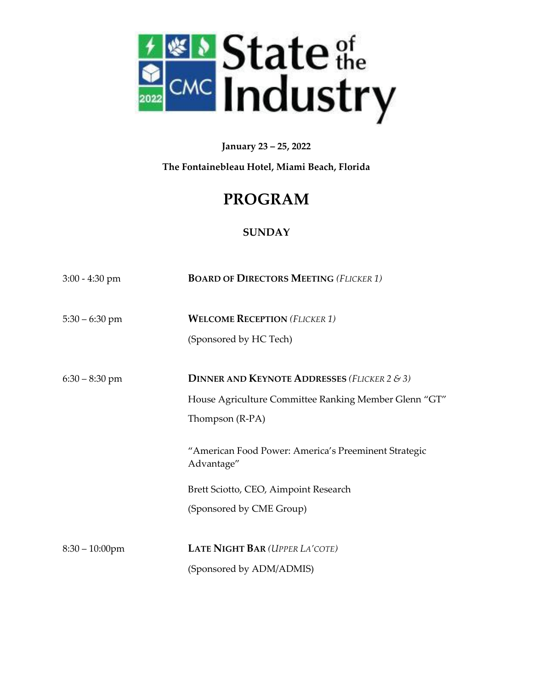

**January 23 – 25, 2022**

**The Fontainebleau Hotel, Miami Beach, Florida**

# **PROGRAM**

## **SUNDAY**

| $3:00 - 4:30$ pm  | <b>BOARD OF DIRECTORS MEETING (FLICKER 1)</b>                                                                                           |
|-------------------|-----------------------------------------------------------------------------------------------------------------------------------------|
| $5:30 - 6:30$ pm  | <b>WELCOME RECEPTION (FLICKER 1)</b><br>(Sponsored by HC Tech)                                                                          |
| $6:30 - 8:30$ pm  | <b>DINNER AND KEYNOTE ADDRESSES</b> (FLICKER 2 & 3)<br>House Agriculture Committee Ranking Member Glenn "GT"<br>Thompson (R-PA)         |
|                   | "American Food Power: America's Preeminent Strategic<br>Advantage"<br>Brett Sciotto, CEO, Aimpoint Research<br>(Sponsored by CME Group) |
| $8:30 - 10:00$ pm | LATE NIGHT BAR (UPPER LA'COTE)<br>(Sponsored by ADM/ADMIS)                                                                              |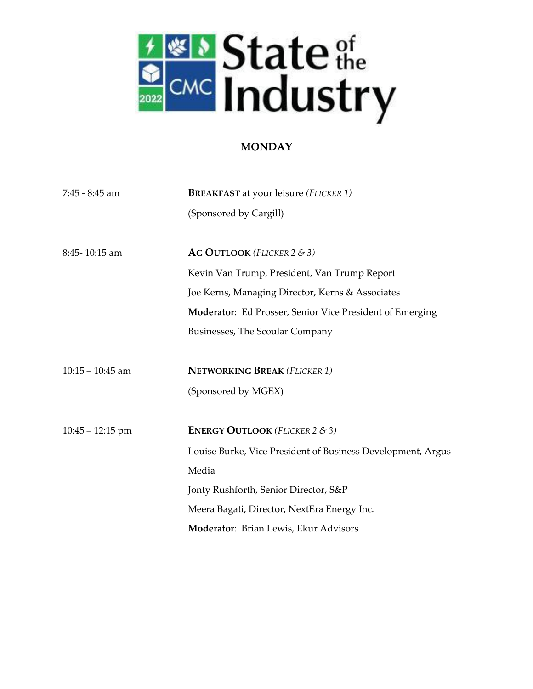

### **MONDAY**

| $7:45 - 8:45$ am   | <b>BREAKFAST</b> at your leisure (FLICKER 1)                |
|--------------------|-------------------------------------------------------------|
|                    | (Sponsored by Cargill)                                      |
|                    |                                                             |
| 8:45-10:15 am      | AG OUTLOOK (FLICKER $2 \& 3$ )                              |
|                    | Kevin Van Trump, President, Van Trump Report                |
|                    | Joe Kerns, Managing Director, Kerns & Associates            |
|                    | Moderator: Ed Prosser, Senior Vice President of Emerging    |
|                    | Businesses, The Scoular Company                             |
|                    |                                                             |
| $10:15 - 10:45$ am | <b>NETWORKING BREAK (FLICKER 1)</b>                         |
|                    | (Sponsored by MGEX)                                         |
|                    |                                                             |
| $10:45 - 12:15$ pm | <b>ENERGY OUTLOOK</b> (FLICKER 2 & 3)                       |
|                    | Louise Burke, Vice President of Business Development, Argus |
|                    | Media                                                       |
|                    | Jonty Rushforth, Senior Director, S&P                       |
|                    | Meera Bagati, Director, NextEra Energy Inc.                 |
|                    | Moderator: Brian Lewis, Ekur Advisors                       |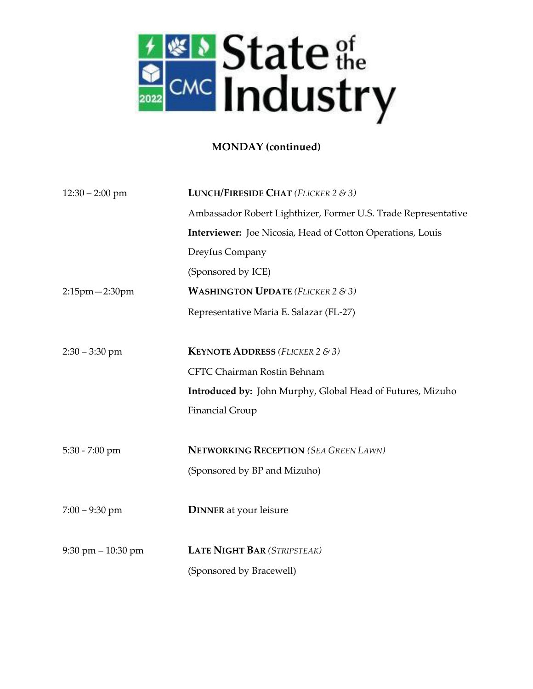

## **MONDAY (continued)**

| $12:30 - 2:00$ pm                    | <b>LUNCH/FIRESIDE CHAT</b> (FLICKER $2 \& 3$ )                    |
|--------------------------------------|-------------------------------------------------------------------|
|                                      | Ambassador Robert Lighthizer, Former U.S. Trade Representative    |
|                                      | <b>Interviewer:</b> Joe Nicosia, Head of Cotton Operations, Louis |
|                                      | Dreyfus Company                                                   |
|                                      | (Sponsored by ICE)                                                |
| $2:15$ pm $-2:30$ pm                 | <b>WASHINGTON UPDATE</b> (FLICKER 2 & 3)                          |
|                                      | Representative Maria E. Salazar (FL-27)                           |
|                                      |                                                                   |
| $2:30 - 3:30$ pm                     | <b>KEYNOTE ADDRESS</b> (FLICKER 2 & 3)                            |
|                                      | CFTC Chairman Rostin Behnam                                       |
|                                      | <b>Introduced by:</b> John Murphy, Global Head of Futures, Mizuho |
|                                      | <b>Financial Group</b>                                            |
|                                      |                                                                   |
| 5:30 - 7:00 pm                       | <b>NETWORKING RECEPTION (SEA GREEN LAWN)</b>                      |
|                                      | (Sponsored by BP and Mizuho)                                      |
|                                      |                                                                   |
| $7:00 - 9:30$ pm                     | <b>DINNER</b> at your leisure                                     |
|                                      |                                                                   |
| $9:30 \text{ pm} - 10:30 \text{ pm}$ | <b>LATE NIGHT BAR (STRIPSTEAK)</b>                                |
|                                      | (Sponsored by Bracewell)                                          |